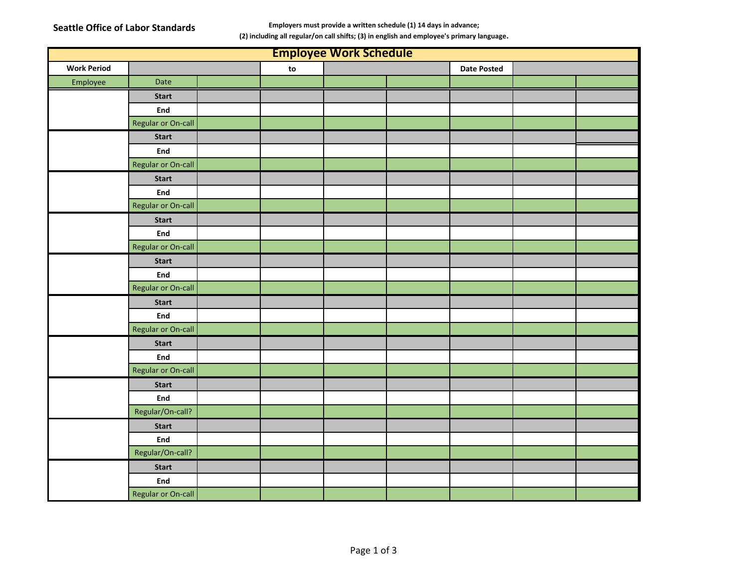**Seattle Office of Labor Standards Employers must provide a written schedule (1) 14 days in advance;** 

**(2) including all regular/on call shifts; (3) in english and employee's primary language.**

| <b>Employee Work Schedule</b> |                           |  |    |  |  |                    |  |  |
|-------------------------------|---------------------------|--|----|--|--|--------------------|--|--|
| <b>Work Period</b>            |                           |  | to |  |  | <b>Date Posted</b> |  |  |
| Employee                      | Date                      |  |    |  |  |                    |  |  |
|                               | <b>Start</b>              |  |    |  |  |                    |  |  |
|                               | End                       |  |    |  |  |                    |  |  |
|                               | Regular or On-call        |  |    |  |  |                    |  |  |
|                               | <b>Start</b>              |  |    |  |  |                    |  |  |
|                               | End                       |  |    |  |  |                    |  |  |
|                               | Regular or On-call        |  |    |  |  |                    |  |  |
|                               | <b>Start</b>              |  |    |  |  |                    |  |  |
|                               | End                       |  |    |  |  |                    |  |  |
|                               | Regular or On-call        |  |    |  |  |                    |  |  |
|                               | <b>Start</b>              |  |    |  |  |                    |  |  |
|                               | End                       |  |    |  |  |                    |  |  |
|                               | <b>Regular or On-call</b> |  |    |  |  |                    |  |  |
|                               | <b>Start</b>              |  |    |  |  |                    |  |  |
|                               | End                       |  |    |  |  |                    |  |  |
|                               | <b>Regular or On-call</b> |  |    |  |  |                    |  |  |
|                               | <b>Start</b>              |  |    |  |  |                    |  |  |
|                               | <b>End</b>                |  |    |  |  |                    |  |  |
|                               | <b>Regular or On-call</b> |  |    |  |  |                    |  |  |
|                               | <b>Start</b>              |  |    |  |  |                    |  |  |
|                               | <b>End</b>                |  |    |  |  |                    |  |  |
|                               | Regular or On-call        |  |    |  |  |                    |  |  |
|                               | <b>Start</b>              |  |    |  |  |                    |  |  |
|                               | <b>End</b>                |  |    |  |  |                    |  |  |
|                               | Regular/On-call?          |  |    |  |  |                    |  |  |
|                               | <b>Start</b>              |  |    |  |  |                    |  |  |
|                               | End                       |  |    |  |  |                    |  |  |
|                               | Regular/On-call?          |  |    |  |  |                    |  |  |
|                               | <b>Start</b>              |  |    |  |  |                    |  |  |
|                               | End                       |  |    |  |  |                    |  |  |
|                               | Regular or On-call        |  |    |  |  |                    |  |  |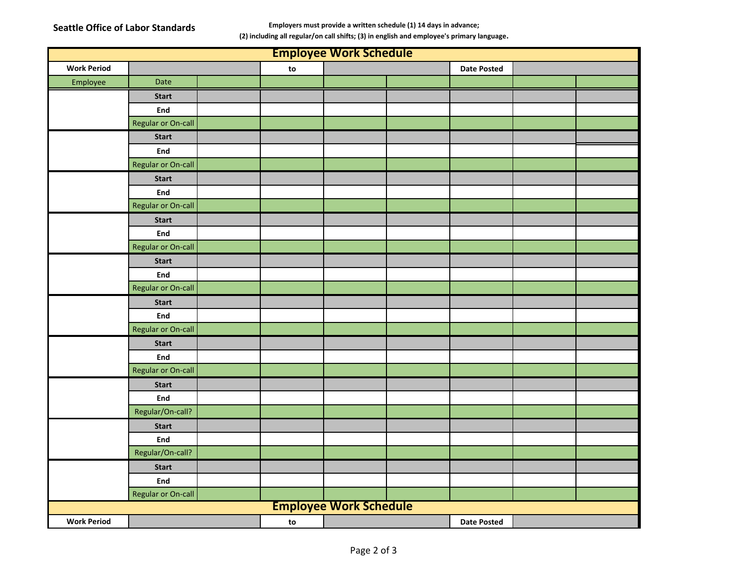**Seattle Office of Labor Standards Employers must provide a written schedule (1) 14 days in advance;** 

**(2) including all regular/on call shifts; (3) in english and employee's primary language.**

| <b>Employee Work Schedule</b> |                           |  |    |  |  |                    |  |  |
|-------------------------------|---------------------------|--|----|--|--|--------------------|--|--|
| <b>Work Period</b>            |                           |  | to |  |  | <b>Date Posted</b> |  |  |
| Employee                      | Date                      |  |    |  |  |                    |  |  |
|                               | <b>Start</b>              |  |    |  |  |                    |  |  |
|                               | End                       |  |    |  |  |                    |  |  |
|                               | <b>Regular or On-call</b> |  |    |  |  |                    |  |  |
|                               | <b>Start</b>              |  |    |  |  |                    |  |  |
|                               | End                       |  |    |  |  |                    |  |  |
|                               | Regular or On-call        |  |    |  |  |                    |  |  |
|                               | <b>Start</b>              |  |    |  |  |                    |  |  |
|                               | End                       |  |    |  |  |                    |  |  |
|                               | Regular or On-call        |  |    |  |  |                    |  |  |
|                               | <b>Start</b>              |  |    |  |  |                    |  |  |
|                               | End                       |  |    |  |  |                    |  |  |
|                               | <b>Regular or On-call</b> |  |    |  |  |                    |  |  |
|                               | <b>Start</b>              |  |    |  |  |                    |  |  |
|                               | End                       |  |    |  |  |                    |  |  |
|                               | Regular or On-call        |  |    |  |  |                    |  |  |
|                               | <b>Start</b>              |  |    |  |  |                    |  |  |
|                               | End                       |  |    |  |  |                    |  |  |
|                               | Regular or On-call        |  |    |  |  |                    |  |  |
|                               | <b>Start</b>              |  |    |  |  |                    |  |  |
|                               | End                       |  |    |  |  |                    |  |  |
|                               | Regular or On-call        |  |    |  |  |                    |  |  |
|                               | <b>Start</b>              |  |    |  |  |                    |  |  |
|                               | End                       |  |    |  |  |                    |  |  |
|                               | Regular/On-call?          |  |    |  |  |                    |  |  |
|                               | <b>Start</b>              |  |    |  |  |                    |  |  |
|                               | End                       |  |    |  |  |                    |  |  |
|                               | Regular/On-call?          |  |    |  |  |                    |  |  |
|                               | <b>Start</b>              |  |    |  |  |                    |  |  |
|                               | End                       |  |    |  |  |                    |  |  |
|                               | Regular or On-call        |  |    |  |  |                    |  |  |
| <b>Employee Work Schedule</b> |                           |  |    |  |  |                    |  |  |
| <b>Work Period</b>            |                           |  | to |  |  | <b>Date Posted</b> |  |  |